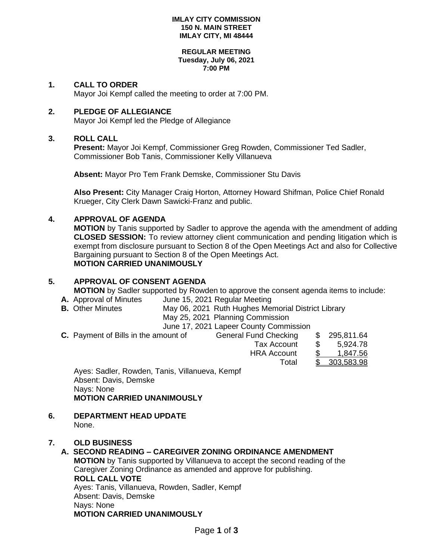### **IMLAY CITY COMMISSION 150 N. MAIN STREET IMLAY CITY, MI 48444**

#### **REGULAR MEETING Tuesday, July 06, 2021 7:00 PM**

### **1. CALL TO ORDER**

Mayor Joi Kempf called the meeting to order at 7:00 PM.

## **2. PLEDGE OF ALLEGIANCE**

Mayor Joi Kempf led the Pledge of Allegiance

## **3. ROLL CALL**

**Present:** Mayor Joi Kempf, Commissioner Greg Rowden, Commissioner Ted Sadler, Commissioner Bob Tanis, Commissioner Kelly Villanueva

**Absent:** Mayor Pro Tem Frank Demske, Commissioner Stu Davis

**Also Present:** City Manager Craig Horton, Attorney Howard Shifman, Police Chief Ronald Krueger, City Clerk Dawn Sawicki-Franz and public.

## **4. APPROVAL OF AGENDA**

**MOTION** by Tanis supported by Sadler to approve the agenda with the amendment of adding **CLOSED SESSION:** To review attorney client communication and pending litigation which is exempt from disclosure pursuant to Section 8 of the Open Meetings Act and also for Collective Bargaining pursuant to Section 8 of the Open Meetings Act. **MOTION CARRIED UNANIMOUSLY**

## **5. APPROVAL OF CONSENT AGENDA**

**MOTION** by Sadler supported by Rowden to approve the consent agenda items to include:

- **A.** Approval of Minutes June 15, 2021 Regular Meeting
- **B.** Other Minutes May 06, 2021 Ruth Hughes Memorial District Library
	- May 25, 2021 Planning Commission

June 17, 2021 Lapeer County Commission

**C.** Payment of Bills in the amount of General Fund Checking \$ 295,811.64

 Tax Account \$ 5,924.78 HRA Account \$ 1,847.56 Total \$ 303,583.98

Ayes: Sadler, Rowden, Tanis, Villanueva, Kempf Absent: Davis, Demske Nays: None **MOTION CARRIED UNANIMOUSLY**

**6. DEPARTMENT HEAD UPDATE** None.

## **7. OLD BUSINESS**

## **A. SECOND READING – CAREGIVER ZONING ORDINANCE AMENDMENT**

**MOTION** by Tanis supported by Villanueva to accept the second reading of the Caregiver Zoning Ordinance as amended and approve for publishing.  **ROLL CALL VOTE** Ayes: Tanis, Villanueva, Rowden, Sadler, Kempf Absent: Davis, Demske Nays: None **MOTION CARRIED UNANIMOUSLY**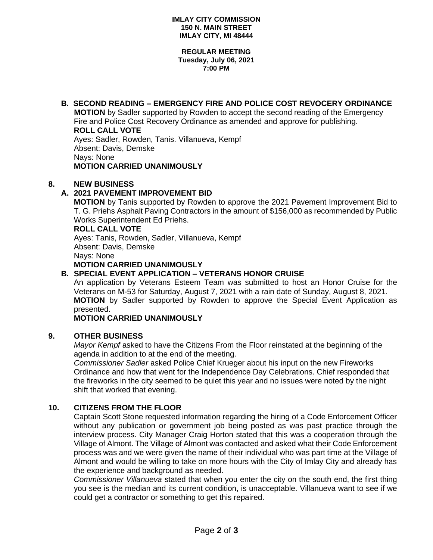#### **REGULAR MEETING Tuesday, July 06, 2021 7:00 PM**

# **B. SECOND READING – EMERGENCY FIRE AND POLICE COST REVOCERY ORDINANCE**

 **MOTION** by Sadler supported by Rowden to accept the second reading of the Emergency Fire and Police Cost Recovery Ordinance as amended and approve for publishing. **ROLL CALL VOTE** Ayes: Sadler, Rowden, Tanis. Villanueva, Kempf Absent: Davis, Demske Nays: None **MOTION CARRIED UNANIMOUSLY**

## **8. NEW BUSINESS**

# **A. 2021 PAVEMENT IMPROVEMENT BID**

**MOTION** by Tanis supported by Rowden to approve the 2021 Pavement Improvement Bid to T. G. Priehs Asphalt Paving Contractors in the amount of \$156,000 as recommended by Public Works Superintendent Ed Priehs.

## **ROLL CALL VOTE**

Ayes: Tanis, Rowden, Sadler, Villanueva, Kempf Absent: Davis, Demske Nays: None **MOTION CARRIED UNANIMOUSLY**

# **B. SPECIAL EVENT APPLICATION – VETERANS HONOR CRUISE**

An application by Veterans Esteem Team was submitted to host an Honor Cruise for the Veterans on M-53 for Saturday, August 7, 2021 with a rain date of Sunday, August 8, 2021. **MOTION** by Sadler supported by Rowden to approve the Special Event Application as presented.

**MOTION CARRIED UNANIMOUSLY**

## **9. OTHER BUSINESS**

*Mayor Kempf* asked to have the Citizens From the Floor reinstated at the beginning of the agenda in addition to at the end of the meeting.

*Commissioner Sadler* asked Police Chief Krueger about his input on the new Fireworks Ordinance and how that went for the Independence Day Celebrations. Chief responded that the fireworks in the city seemed to be quiet this year and no issues were noted by the night shift that worked that evening.

## **10. CITIZENS FROM THE FLOOR**

Captain Scott Stone requested information regarding the hiring of a Code Enforcement Officer without any publication or government job being posted as was past practice through the interview process. City Manager Craig Horton stated that this was a cooperation through the Village of Almont. The Village of Almont was contacted and asked what their Code Enforcement process was and we were given the name of their individual who was part time at the Village of Almont and would be willing to take on more hours with the City of Imlay City and already has the experience and background as needed.

*Commissioner Villanueva* stated that when you enter the city on the south end, the first thing you see is the median and its current condition, is unacceptable. Villanueva want to see if we could get a contractor or something to get this repaired.